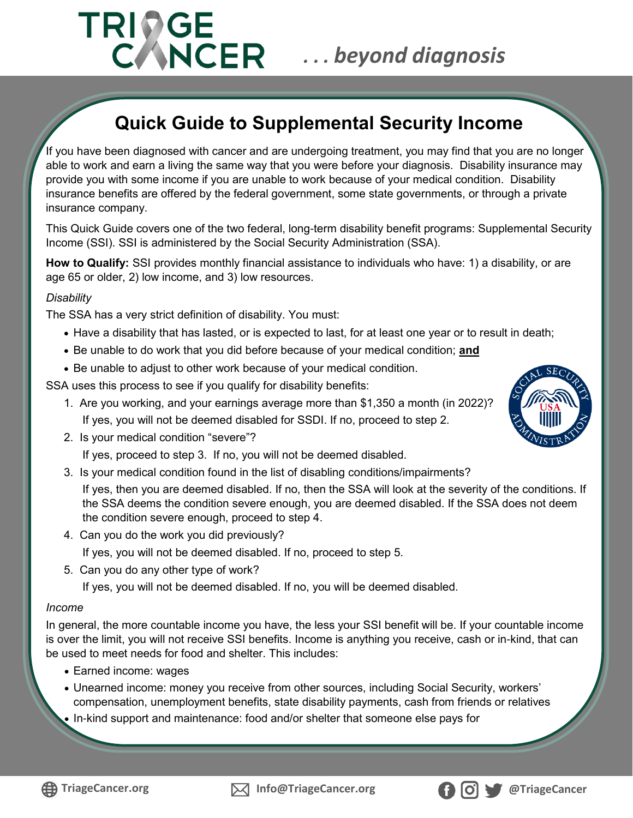# **TRIDGE** *. . . beyond diagnosis*

# **Quick Guide to Supplemental Security Income**

If you have been diagnosed with cancer and are undergoing treatment, you may find that you are no longer able to work and earn a living the same way that you were before your diagnosis. Disability insurance may provide you with some income if you are unable to work because of your medical condition. Disability insurance benefits are offered by the federal government, some state governments, or through a private insurance company.

This Quick Guide covers one of the two federal, long-term disability benefit programs: Supplemental Security Income (SSI). SSI is administered by the Social Security Administration (SSA).

**How to Qualify:** SSI provides monthly financial assistance to individuals who have: 1) a disability, or are age 65 or older, 2) low income, and 3) low resources.

#### *Disability*

The SSA has a very strict definition of disability. You must:

- Have a disability that has lasted, or is expected to last, for at least one year or to result in death;
- Be unable to do work that you did before because of your medical condition; **and**
- Be unable to adjust to other work because of your medical condition.

SSA uses this process to see if you qualify for disability benefits:

- 1. Are you working, and your earnings average more than \$1,350 a month (in 2022)? If yes, you will not be deemed disabled for SSDI. If no, proceed to step 2.
- 2. Is your medical condition "severe"?

If yes, proceed to step 3. If no, you will not be deemed disabled.

3. Is your medical condition found in the list of disabling conditions/impairments?

If yes, then you are deemed disabled. If no, then the SSA will look at the severity of the conditions. If the SSA deems the condition severe enough, you are deemed disabled. If the SSA does not deem the condition severe enough, proceed to step 4.

- 4. Can you do the work you did previously? If yes, you will not be deemed disabled. If no, proceed to step 5.
- 5. Can you do any other type of work?

If yes, you will not be deemed disabled. If no, you will be deemed disabled.

#### *Income*

In general, the more countable income you have, the less your SSI benefit will be. If your countable income is over the limit, you will not receive SSI benefits. Income is anything you receive, cash or in-kind, that can be used to meet needs for food and shelter. This includes:

- Earned income: wages
- Unearned income: money you receive from other sources, including Social Security, workers' compensation, unemployment benefits, state disability payments, cash from friends or relatives
- In-kind support and maintenance: food and/or shelter that someone else pays for







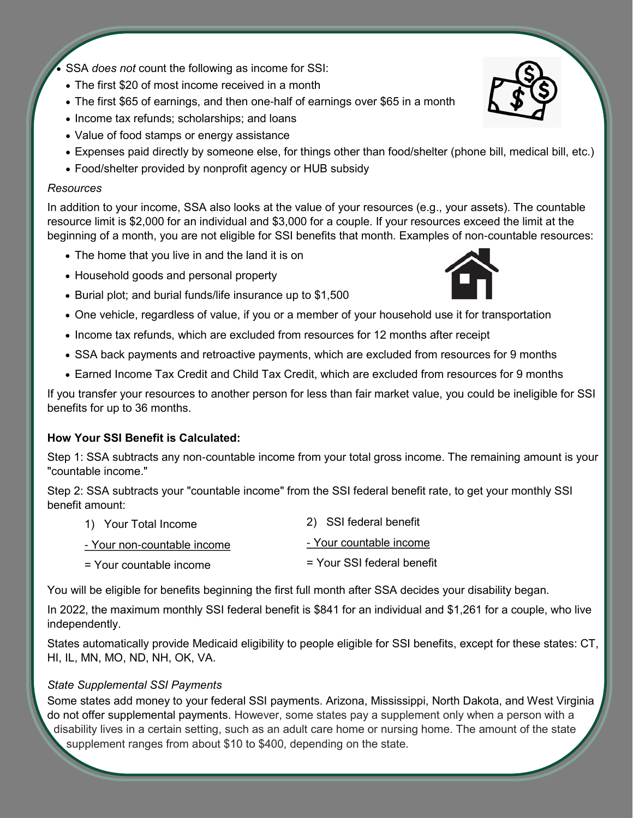• SSA *does not* count the following as income for SSI:

- The first \$20 of most income received in a month
- The first \$65 of earnings, and then one-half of earnings over \$65 in a month
- Income tax refunds; scholarships; and loans
- Value of food stamps or energy assistance
- Expenses paid directly by someone else, for things other than food/shelter (phone bill, medical bill, etc.)
- Food/shelter provided by nonprofit agency or HUB subsidy

#### *Resources*

In addition to your income, SSA also looks at the value of your resources (e.g., your assets). The countable resource limit is \$2,000 for an individual and \$3,000 for a couple. If your resources exceed the limit at the beginning of a month, you are not eligible for SSI benefits that month. Examples of non-countable resources:

- The home that you live in and the land it is on
- Household goods and personal property
- Burial plot; and burial funds/life insurance up to \$1,500
- One vehicle, regardless of value, if you or a member of your household use it for transportation
- Income tax refunds, which are excluded from resources for 12 months after receipt
- SSA back payments and retroactive payments, which are excluded from resources for 9 months
- Earned Income Tax Credit and Child Tax Credit, which are excluded from resources for 9 months

If you transfer your resources to another person for less than fair market value, you could be ineligible for SSI benefits for up to 36 months.

#### **How Your SSI Benefit is Calculated:**

Step 1: SSA subtracts any non-countable income from your total gross income. The remaining amount is your "countable income."

Step 2: SSA subtracts your "countable income" from the SSI federal benefit rate, to get your monthly SSI benefit amount:

| 1) Your Total Income        | 2) SSI federal benefit     |
|-----------------------------|----------------------------|
| - Your non-countable income | - Your countable income    |
| = Your countable income     | = Your SSI federal benefit |

You will be eligible for benefits beginning the first full month after SSA decides your disability began.

In 2022, the maximum monthly SSI federal benefit is \$841 for an individual and \$1,261 for a couple, who live independently.

States automatically provide Medicaid eligibility to people eligible for SSI benefits, except for these states: CT, HI, IL, MN, MO, ND, NH, OK, VA.

## *State Supplemental SSI Payments*

Some states add money to your federal SSI payments. Arizona, Mississippi, North Dakota, and West Virginia do not offer supplemental payments. However, some states pay a supplement only when a person with a disability lives in a certain setting, such as an adult care home or nursing home. The amount of the state supplement ranges from about \$10 to \$400, depending on the state.



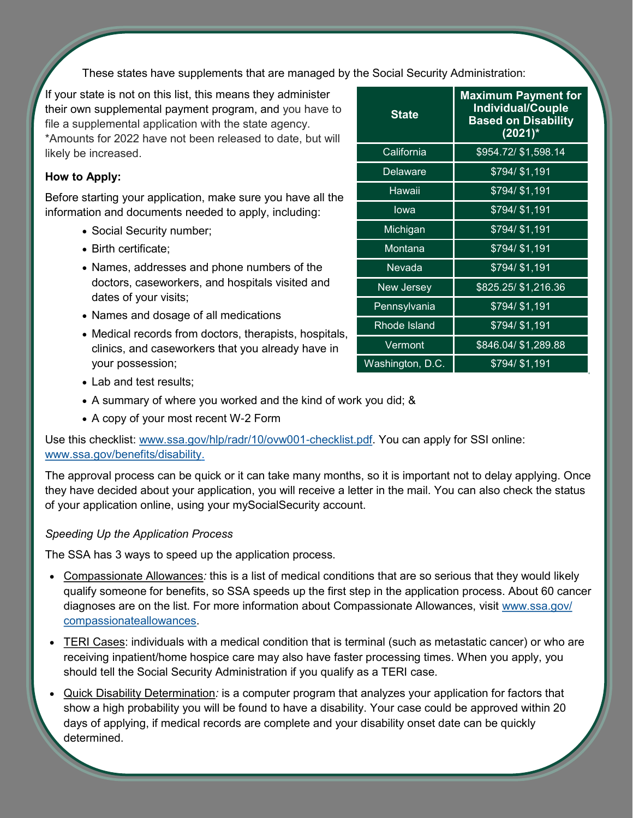These states have supplements that are managed by the Social Security Administration:

If your state is not on this list, this means they administer their own supplemental payment program, and you have to file a supplemental application with the state agency. \*Amounts for 2022 have not been released to date, but will likely be increased.

## **How to Apply:**

Before starting your application, make sure you have all the information and documents needed to apply, including:

- Social Security number;
- Birth certificate;
- Names, addresses and phone numbers of the doctors, caseworkers, and hospitals visited and dates of your visits;
- Names and dosage of all medications
- Medical records from doctors, therapists, hospitals, clinics, and caseworkers that you already have in your possession;

| <b>State</b>     | <b>Maximum Payment for</b><br><b>Individual/Couple</b><br><b>Based on Disability</b><br>$(2021)^*$ |
|------------------|----------------------------------------------------------------------------------------------------|
| California       | \$954.72/ \$1,598.14                                                                               |
| Delaware         | $$794/\overline{$1,191}$                                                                           |
| Hawaii           | \$794/ \$1,191                                                                                     |
| lowa             | \$794/ \$1,191                                                                                     |
| Michigan         | \$794/ \$1,191                                                                                     |
| Montana          | \$794/ \$1,191                                                                                     |
| Nevada           | \$794/ \$1,191                                                                                     |
| New Jersey       | \$825.25/ \$1,216.36                                                                               |
| Pennsylvania     | \$794/ \$1,191                                                                                     |
| Rhode Island     | \$794/ \$1,191                                                                                     |
| Vermont          | \$846.04/ \$1,289.88                                                                               |
| Washington, D.C. | \$794/ \$1,191                                                                                     |

- Lab and test results:
- A summary of where you worked and the kind of work you did; &
- A copy of your most recent W-2 Form

Use this checklist: [www.ssa.gov/hlp/radr/10/ovw001](http://www.ssa.gov/hlp/radr/10/ovw001-checklist.pdf)-checklist.pdf. You can apply for SSI online: [www.ssa.gov/benefits/disability.](http://www.ssa.gov/benefits/disability)

The approval process can be quick or it can take many months, so it is important not to delay applying. Once they have decided about your application, you will receive a letter in the mail. You can also check the status of your application online, using your mySocialSecurity account.

## *Speeding Up the Application Process*

The SSA has 3 ways to speed up the application process.

- Compassionate Allowances*:* this is a list of medical conditions that are so serious that they would likely qualify someone for benefits, so SSA speeds up the first step in the application process. About 60 cancer diagnoses are on the list. For more information about Compassionate Allowances, visit [www.ssa.gov/](http://www.ssa.gov/compassionateallowances) [compassionateallowances.](http://www.ssa.gov/compassionateallowances)
- TERI Cases: individuals with a medical condition that is terminal (such as metastatic cancer) or who are receiving inpatient/home hospice care may also have faster processing times. When you apply, you should tell the Social Security Administration if you qualify as a TERI case.
- Quick Disability Determination*:* is a computer program that analyzes your application for factors that show a high probability you will be found to have a disability. Your case could be approved within 20 days of applying, if medical records are complete and your disability onset date can be quickly determined.